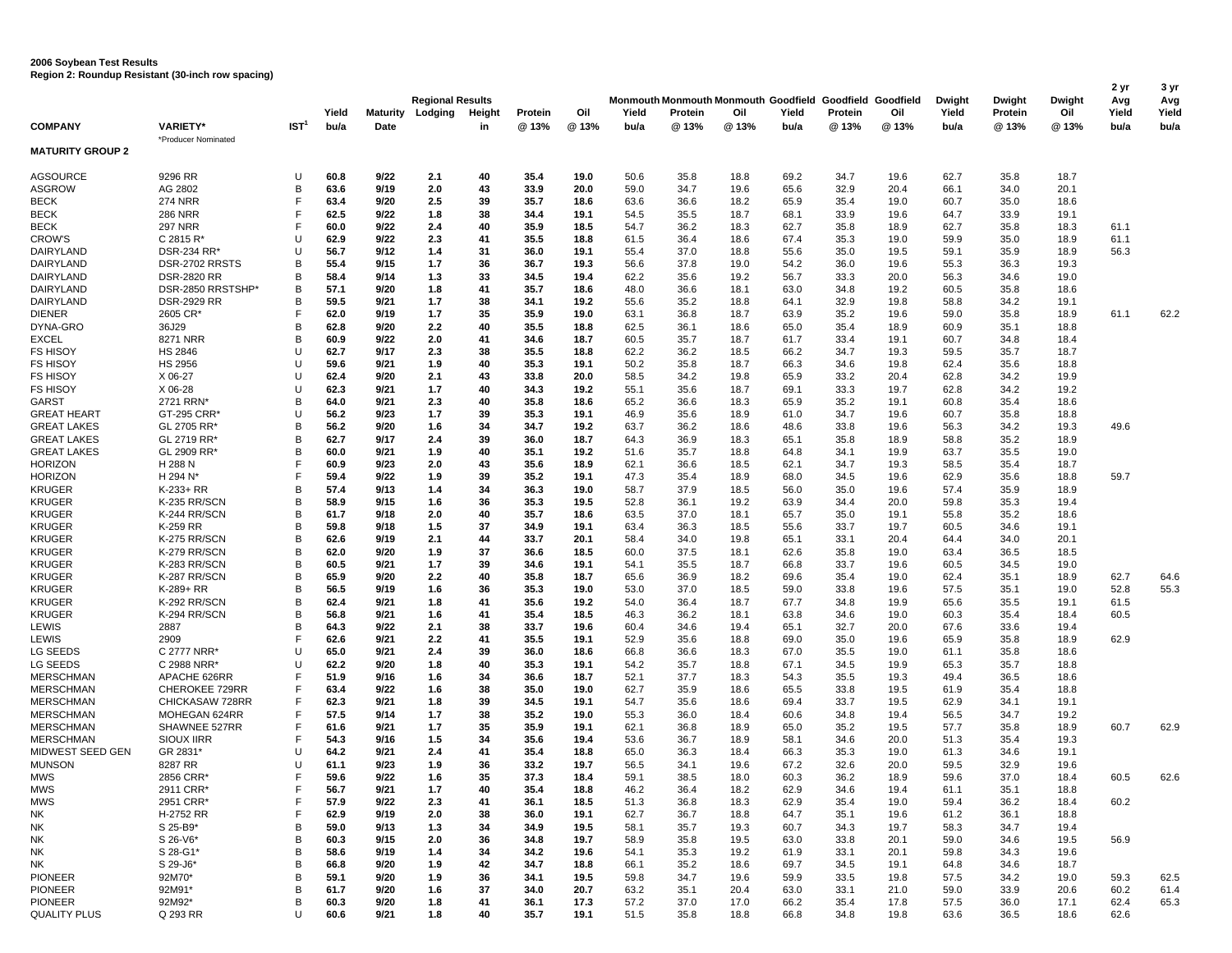|                                  |                                        |                  | Yield        | <b>Maturity</b> | <b>Regional Results</b><br>Lodging<br>Height<br>Protein |          |              | Oil          | Yield        | Protein      | Oil          | Yield        | Protein      | Monmouth Monmouth Monmouth Goodfield Goodfield Goodfield<br>Oil | Dwight<br>Yield | Dwight<br>Protein | Dwight<br>Oil | 2 yr<br>Avg<br>Yield | 3 yr<br>Avg<br>Yield |
|----------------------------------|----------------------------------------|------------------|--------------|-----------------|---------------------------------------------------------|----------|--------------|--------------|--------------|--------------|--------------|--------------|--------------|-----------------------------------------------------------------|-----------------|-------------------|---------------|----------------------|----------------------|
| <b>COMPANY</b>                   | <b>VARIETY*</b><br>*Producer Nominated | IST <sup>1</sup> | bu/a         | Date            |                                                         | in       | @ 13%        | @ 13%        | bu/a         | @13%         | @13%         | bu/a         | @ 13%        | @13%                                                            | bu/a            | @ 13%             | @ 13%         | bu/a                 | bu/a                 |
| <b>MATURITY GROUP 2</b>          |                                        |                  |              |                 |                                                         |          |              |              |              |              |              |              |              |                                                                 |                 |                   |               |                      |                      |
| <b>AGSOURCE</b>                  | 9296 RR                                | U                | 60.8         | 9/22            | 2.1                                                     | 40       | 35.4         | 19.0         | 50.6         | 35.8         | 18.8         | 69.2         | 34.7         | 19.6                                                            | 62.7            | 35.8              | 18.7          |                      |                      |
| ASGROW                           | AG 2802                                | в                | 63.6         | 9/19            | 2.0                                                     | 43       | 33.9         | 20.0         | 59.0         | 34.7         | 19.6         | 65.6         | 32.9         | 20.4                                                            | 66.1            | 34.0              | 20.1          |                      |                      |
| <b>BECK</b>                      | <b>274 NRR</b>                         |                  | 63.4         | 9/20            | 2.5                                                     | 39       | 35.7         | 18.6         | 63.6         | 36.6         | 18.2         | 65.9         | 35.4         | 19.0                                                            | 60.7            | 35.0              | 18.6          |                      |                      |
| BECK                             | <b>286 NRR</b>                         |                  | 62.5         | 9/22            | 1.8                                                     | 38       | 34.4         | 19.1         | 54.5         | 35.5         | 18.7         | 68.1         | 33.9         | 19.6                                                            | 64.7            | 33.9              | 19.1          |                      |                      |
| BECK                             | <b>297 NRR</b>                         |                  | 60.0         | 9/22            | 2.4                                                     | 40       | 35.9         | 18.5         | 54.7         | 36.2         | 18.3         | 62.7         | 35.8         | 18.9                                                            | 62.7            | 35.8              | 18.3          | 61.1                 |                      |
| <b>CROW'S</b>                    | C 2815 R'                              | U                | 62.9         | 9/22            | 2.3                                                     | 41       | 35.5         | 18.8         | 61.5         | 36.4         | 18.6         | 67.4         | 35.3         | 19.0                                                            | 59.9            | 35.0              | 18.9          | 61.1                 |                      |
| DAIRYLAND                        | DSR-234 RR*                            |                  | 56.7         | 9/12            | 1.4                                                     | 31       | 36.0         | 19.1         | 55.4         | 37.0         | 18.8         | 55.6         | 35.0         | 19.5                                                            | 59.1            | 35.9              | 18.9          | 56.3                 |                      |
| DAIRYLAND                        | DSR-2702 RRSTS                         | B                | 55.4         | 9/15            | 1.7                                                     | 36       | 36.7         | 19.3         | 56.6         | 37.8         | 19.0         | 54.2         | 36.0         | 19.6                                                            | 55.3            | 36.3              | 19.3          |                      |                      |
| DAIRYLAND                        | <b>DSR-2820 RR</b>                     | в                | 58.4         | 9/14            | 1.3                                                     | 33       | 34.5         | 19.4         | 62.2         | 35.6         | 19.2         | 56.7         | 33.3         | 20.0                                                            | 56.3            | 34.6              | 19.0          |                      |                      |
| DAIRYLAND                        | DSR-2850 RRSTSHP*                      | B                | 57.1         | 9/20            | 1.8                                                     | 41       | 35.7         | 18.6         | 48.0         | 36.6         | 18.1         | 63.0         | 34.8         | 19.2                                                            | 60.5            | 35.8              | 18.6          |                      |                      |
| DAIRYLAND                        | <b>DSR-2929 RR</b>                     | B                | 59.5         | 9/21            | 1.7                                                     | 38       | 34.1         | 19.2         | 55.6         | 35.2         | 18.8         | 64.1         | 32.9         | 19.8                                                            | 58.8            | 34.2              | 19.1          |                      |                      |
| <b>DIENER</b>                    | 2605 CR*                               |                  | 62.0         | 9/19            | 1.7                                                     | 35       | 35.9         | 19.0         | 63.1         | 36.8         | 18.7         | 63.9         | 35.2         | 19.6                                                            | 59.0            | 35.8              | 18.9          | 61.1                 | 62.2                 |
| DYNA-GRO                         | 36J29                                  | B                | 62.8         | 9/20            | 2.2                                                     | 40       | 35.5         | 18.8         | 62.5         | 36.1         | 18.6         | 65.0         | 35.4         | 18.9                                                            | 60.9            | 35.1              | 18.8          |                      |                      |
| <b>EXCEL</b>                     | 8271 NRR                               | B                | 60.9         | 9/22            | 2.0                                                     | 41       | 34.6         | 18.7         | 60.5         | 35.7         | 18.7         | 61.7         | 33.4         | 19.1                                                            | 60.7            | 34.8              | 18.4          |                      |                      |
| <b>FS HISOY</b>                  | <b>HS 2846</b>                         | U                | 62.7         | 9/17            | 2.3                                                     | 38       | 35.5         | 18.8         | 62.2         | 36.2         | 18.5         | 66.2         | 34.7         | 19.3                                                            | 59.5            | 35.7              | 18.7          |                      |                      |
| FS HISOY                         | <b>HS 2956</b>                         |                  | 59.6         | 9/21            | 1.9                                                     | 40       | 35.3         | 19.1         | 50.2         | 35.8         | 18.7         | 66.3         | 34.6         | 19.8                                                            | 62.4            | 35.6              | 18.8          |                      |                      |
| <b>FS HISOY</b>                  | X 06-27                                | U                | 62.4         | 9/20            | 2.1                                                     | 43       | 33.8         | 20.0         | 58.5         | 34.2         | 19.8         | 65.9         | 33.2         | 20.4                                                            | 62.8            | 34.2              | 19.9          |                      |                      |
| <b>FS HISOY</b>                  | X 06-28                                | U                | 62.3         | 9/21            | 1.7                                                     | 40       | 34.3         | 19.2         | 55.1         | 35.6         | 18.7         | 69.1         | 33.3         | 19.7                                                            | 62.8            | 34.2              | 19.2          |                      |                      |
| GARST                            | 2721 RRN'                              | в                | 64.0         | 9/21            | 2.3                                                     | 40       | 35.8         | 18.6         | 65.2         | 36.6         | 18.3         | 65.9         | 35.2         | 19.1                                                            | 60.8            | 35.4              | 18.6          |                      |                      |
| <b>GREAT HEART</b>               | GT-295 CRR*                            | U                | 56.2         | 9/23            | 1.7                                                     | 39       | 35.3         | 19.1         | 46.9         | 35.6         | 18.9         | 61.0         | 34.7         | 19.6                                                            | 60.7            | 35.8              | 18.8          |                      |                      |
| <b>GREAT LAKES</b>               | GL 2705 RR'                            | B                | 56.2         | 9/20            | 1.6                                                     | 34       | 34.7         | 19.2         | 63.7         | 36.2         | 18.6         | 48.6         | 33.8         | 19.6                                                            | 56.3            | 34.2              | 19.3          | 49.6                 |                      |
| <b>GREAT LAKES</b>               | GL 2719 RR'                            | в                | 62.7         | 9/17            | 2.4                                                     | 39       | 36.0         | 18.7         | 64.3         | 36.9         | 18.3         | 65.1         | 35.8         | 18.9                                                            | 58.8            | 35.2              | 18.9          |                      |                      |
| <b>GREAT LAKES</b>               | GL 2909 RR'                            | B                | 60.0         | 9/21            | 1.9                                                     | 40       | 35.1         | 19.2         | 51.6         | 35.7         | 18.8         | 64.8         | 34.1         | 19.9                                                            | 63.7            | 35.5              | 19.0          |                      |                      |
| <b>HORIZON</b>                   | H 288 N                                |                  | 60.9         | 9/23            | 2.0                                                     | 43       | 35.6         | 18.9         | 62.1         | 36.6         | 18.5         | 62.1         | 34.7         | 19.3                                                            | 58.5            | 35.4              | 18.7          |                      |                      |
| <b>HORIZON</b>                   | H 294 N*                               |                  | 59.4         | 9/22            | 1.9                                                     | 39       | 35.2         | 19.1         | 47.3         | 35.4         | 18.9         | 68.0         | 34.5         | 19.6                                                            | 62.9            | 35.6              | 18.8          | 59.7                 |                      |
| <b>KRUGER</b>                    | K-233+ RR                              | B                | 57.4         | 9/13            | 1.4                                                     | 34       | 36.3         | 19.0         | 58.7         | 37.9         | 18.5         | 56.0         | 35.0         | 19.6                                                            | 57.4            | 35.9              | 18.9          |                      |                      |
| <b>KRUGER</b>                    | K-235 RR/SCN                           | B                | 58.9         | 9/15            | 1.6                                                     | 36       | 35.3         | 19.5         | 52.8         | 36.1         | 19.2         | 63.9         | 34.4         | 20.0                                                            | 59.8            | 35.3              | 19.4          |                      |                      |
| <b>KRUGER</b><br><b>KRUGER</b>   | K-244 RR/SCN<br>K-259 RR               | в<br>B           | 61.7<br>59.8 | 9/18            | 2.0                                                     | 40<br>37 | 35.7<br>34.9 | 18.6         | 63.5         | 37.0<br>36.3 | 18.1<br>18.5 | 65.7<br>55.6 | 35.0<br>33.7 | 19.1                                                            | 55.8<br>60.5    | 35.2              | 18.6<br>19.1  |                      |                      |
|                                  | K-275 RR/SCN                           | B                | 62.6         | 9/18            | 1.5                                                     | 44       |              | 19.1         | 63.4         |              |              |              |              | 19.7                                                            |                 | 34.6<br>34.0      |               |                      |                      |
| <b>KRUGER</b><br>KRUGER          | K-279 RR/SCN                           | в                | 62.0         | 9/19<br>9/20    | 2.1<br>1.9                                              | 37       | 33.7<br>36.6 | 20.1<br>18.5 | 58.4<br>60.0 | 34.0<br>37.5 | 19.8<br>18.1 | 65.1<br>62.6 | 33.1<br>35.8 | 20.4<br>19.0                                                    | 64.4<br>63.4    | 36.5              | 20.1<br>18.5  |                      |                      |
| <b>KRUGER</b>                    | K-283 RR/SCN                           | B                | 60.5         | 9/21            | 1.7                                                     | 39       | 34.6         | 19.1         | 54.1         | 35.5         | 18.7         | 66.8         | 33.7         | 19.6                                                            | 60.5            | 34.5              | 19.0          |                      |                      |
| <b>KRUGER</b>                    | K-287 RR/SCN                           | B                | 65.9         | 9/20            | 2.2                                                     | 40       | 35.8         | 18.7         | 65.6         | 36.9         | 18.2         | 69.6         | 35.4         | 19.0                                                            | 62.4            | 35.1              | 18.9          | 62.7                 | 64.6                 |
| KRUGER                           | K-289+ RR                              | в                | 56.5         | 9/19            | 1.6                                                     | 36       | 35.3         | 19.0         | 53.0         | 37.0         | 18.5         | 59.0         | 33.8         | 19.6                                                            | 57.5            | 35.1              | 19.0          | 52.8                 | 55.3                 |
| KRUGER                           | <b>K-292 RR/SCN</b>                    | B                | 62.4         | 9/21            | 1.8                                                     | 41       | 35.6         | 19.2         | 54.0         | 36.4         | 18.7         | 67.7         | 34.8         | 19.9                                                            | 65.6            | 35.5              | 19.1          | 61.5                 |                      |
| KRUGER                           | K-294 RR/SCN                           | B                | 56.8         | 9/21            | 1.6                                                     | 41       | 35.4         | 18.5         | 46.3         | 36.2         | 18.1         | 63.8         | 34.6         | 19.0                                                            | 60.3            | 35.4              | 18.4          | 60.5                 |                      |
| LEWIS                            | 2887                                   | B                | 64.3         | 9/22            | 2.1                                                     | 38       | 33.7         | 19.6         | 60.4         | 34.6         | 19.4         | 65.1         | 32.7         | 20.0                                                            | 67.6            | 33.6              | 19.4          |                      |                      |
| <b>LEWIS</b>                     | 2909                                   |                  | 62.6         | 9/21            | 2.2                                                     | 41       | 35.5         | 19.1         | 52.9         | 35.6         | 18.8         | 69.0         | 35.0         | 19.6                                                            | 65.9            | 35.8              | 18.9          | 62.9                 |                      |
| LG SEEDS                         | C 2777 NRR*                            |                  | 65.0         | 9/21            | 2.4                                                     | 39       | 36.0         | 18.6         | 66.8         | 36.6         | 18.3         | 67.0         | 35.5         | 19.0                                                            | 61.1            | 35.8              | 18.6          |                      |                      |
| LG SEEDS                         | C 2988 NRR*                            | U                | 62.2         | 9/20            | 1.8                                                     | 40       | 35.3         | 19.1         | 54.2         | 35.7         | 18.8         | 67.1         | 34.5         | 19.9                                                            | 65.3            | 35.7              | 18.8          |                      |                      |
| <b>MERSCHMAN</b>                 | APACHE 626RR                           |                  | 51.9         | 9/16            | 1.6                                                     | 34       | 36.6         | 18.7         | 52.1         | 37.7         | 18.3         | 54.3         | 35.5         | 19.3                                                            | 49.4            | 36.5              | 18.6          |                      |                      |
| <b>MERSCHMAN</b>                 | CHEROKEE 729RR                         |                  | 63.4         | 9/22            | 1.6                                                     | 38       | 35.0         | 19.0         | 62.7         | 35.9         | 18.6         | 65.5         | 33.8         | 19.5                                                            | 61.9            | 35.4              | 18.8          |                      |                      |
| <b>MERSCHMAN</b>                 | CHICKASAW 728RR                        |                  | 62.3         | 9/21            | 1.8                                                     | 39       | 34.5         | 19.1         | 54.7         | 35.6         | 18.6         | 69.4         | 33.7         | 19.5                                                            | 62.9            | 34.1              | 19.1          |                      |                      |
| <b>MERSCHMAN</b>                 | MOHEGAN 624RR                          |                  | 57.5         | 9/14            | 1.7                                                     | 38       | 35.2         | 19.0         | 55.3         | 36.0         | 18.4         | 60.6         | 34.8         | 19.4                                                            | 56.5            | 34.7              | 19.2          |                      |                      |
| <b>MERSCHMAN</b>                 | SHAWNEE 527RR                          |                  | 61.6         | 9/21            | 1.7                                                     | 35       | 35.9         | 19.1         | 62.1         | 36.8         | 18.9         | 65.0         | 35.2         | 19.5                                                            | 57.7            | 35.8              | 18.9          | 60.7                 | 62.9                 |
| <b>MERSCHMAN</b>                 | <b>SIOUX IIRR</b>                      |                  | 54.3         | 9/16            | 1.5                                                     | 34       | 35.6         | 19.4         | 53.6         | 36.7         | 18.9         | 58.1         | 34.6         | 20.0                                                            | 51.3            | 35.4              | 19.3          |                      |                      |
| MIDWEST SEED GEN                 | GR 2831                                |                  | 64.2         | 9/21            | 2.4                                                     | 41       | 35.4         | 18.8         | 65.0         | 36.3         | 18.4         | 66.3         | 35.3         | 19.0                                                            | 61.3            | 34.6              | 19.1          |                      |                      |
| <b>MUNSON</b>                    | 8287 RR                                | $\mathbf{I}$     | 61.1         | 9/23            | 1.9                                                     | 36       | 33.2         | 19.7         | 56.5         | 34.1         | 19.6         | 67.2         | 32.6         | 20.0                                                            | 59.5            | 32.9              | 19.6          |                      |                      |
| MWS                              | 2856 CRR                               |                  | 59.6         | 9/22            | 1.6                                                     | 35       | 37.3         | 18.4         | 59.1         | 38.5         | 18.0         | 60.3         | 36.2         | 18.9                                                            | 59.6            | 37.0              | 18.4          | 60.5                 | 62.6                 |
| <b>MWS</b>                       | 2911 CRR*                              | F                | 56.7         | 9/21            | 1.7                                                     | 40       | 35.4         | 18.8         | 46.2         | 36.4         | 18.2         | 62.9         | 34.6         | 19.4                                                            | 61.1            | 35.1              | 18.8          |                      |                      |
| <b>MWS</b>                       | 2951 CRR*                              |                  | 57.9         | 9/22            | 2.3                                                     | 41       | 36.1         | 18.5         | 51.3         | 36.8         | 18.3         | 62.9         | 35.4         | 19.0                                                            | 59.4            | 36.2              | 18.4          | 60.2                 |                      |
| ΝK                               | H-2752 RR                              |                  | 62.9         | 9/19            | 2.0                                                     | 38       | 36.0         | 19.1         | 62.7         | 36.7         | 18.8         | 64.7         | 35.1         | 19.6                                                            | 61.2            | 36.1              | 18.8          |                      |                      |
| NΚ                               | S 25-B9*                               | в                | 59.0         | 9/13            | 1.3                                                     | 34       | 34.9         | 19.5         | 58.1         | 35.7         | 19.3         | 60.7         | 34.3         | 19.7                                                            | 58.3            | 34.7              | 19.4          |                      |                      |
| NΚ                               | S 26-V6*                               | B                | 60.3         | 9/15            | 2.0                                                     | 36       | 34.8         | 19.7         | 58.9         | 35.8         | 19.5         | 63.0         | 33.8         | 20.1                                                            | 59.0            | 34.6              | 19.5          | 56.9                 |                      |
| NΚ                               | S 28-G1*                               | B                | 58.6         | 9/19            | 1.4                                                     | 34       | 34.2         | 19.6         | 54.1         | 35.3         | 19.2         | 61.9         | 33.1         | 20.1                                                            | 59.8            | 34.3              | 19.6          |                      |                      |
| NΚ                               | S 29-J6*                               | B                | 66.8         | 9/20            | 1.9                                                     | 42       | 34.7         | 18.8         | 66.1         | 35.2         | 18.6         | 69.7         | 34.5         | 19.1                                                            | 64.8            | 34.6              | 18.7          |                      |                      |
| <b>PIONEER</b>                   | 92M70*                                 | B                | 59.1         | 9/20            | 1.9                                                     | 36       | 34.1         | 19.5         | 59.8         | 34.7         | 19.6         | 59.9         | 33.5         | 19.8                                                            | 57.5            | 34.2              | 19.0          | 59.3                 | 62.5                 |
| <b>PIONEER</b><br><b>PIONEER</b> | 92M91*<br>92M92*                       | В<br>В           | 61.7<br>60.3 | 9/20<br>9/20    | 1.6                                                     | 37<br>41 | 34.0<br>36.1 | 20.7<br>17.3 | 63.2<br>57.2 | 35.1<br>37.0 | 20.4<br>17.0 | 63.0<br>66.2 | 33.1<br>35.4 | 21.0<br>17.8                                                    | 59.0<br>57.5    | 33.9<br>36.0      | 20.6          | 60.2<br>62.4         | 61.4<br>65.3         |
| <b>QUALITY PLUS</b>              | Q 293 RR                               | U                | 60.6         | 9/21            | 1.8<br>1.8                                              | 40       | 35.7         | 19.1         | 51.5         | 35.8         | 18.8         | 66.8         | 34.8         | 19.8                                                            | 63.6            | 36.5              | 17.1<br>18.6  | 62.6                 |                      |
|                                  |                                        |                  |              |                 |                                                         |          |              |              |              |              |              |              |              |                                                                 |                 |                   |               |                      |                      |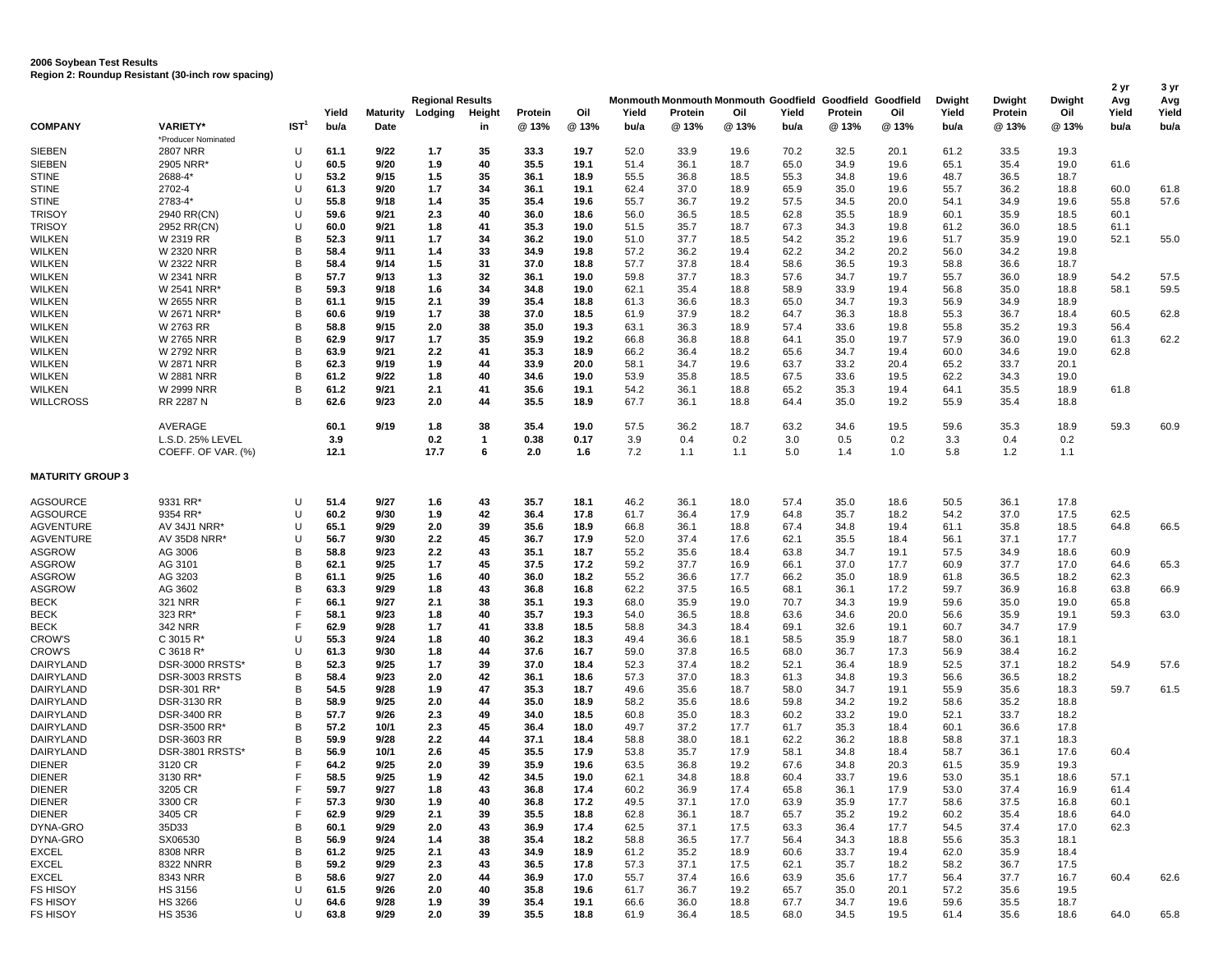|                         |                                        |                  |               |                  | <b>Regional Results</b> |              |                  | Oil         |               |                 | Monmouth Monmouth Monmouth Goodfield Goodfield Goodfield | Yield      |                 |              | <b>Dwight</b> | Dwight           | <b>Dwight</b><br>Oil | 2 yr<br>Avg<br>Yield | 3 yr<br>Avg   |
|-------------------------|----------------------------------------|------------------|---------------|------------------|-------------------------|--------------|------------------|-------------|---------------|-----------------|----------------------------------------------------------|------------|-----------------|--------------|---------------|------------------|----------------------|----------------------|---------------|
| <b>COMPANY</b>          | <b>VARIETY*</b>                        | IST <sup>1</sup> | Yield<br>bu/a | Maturity<br>Date | Lodging                 | Height<br>in | Protein<br>@ 13% | @ 13%       | Yield<br>bu/a | Protein<br>@13% | Oil<br>@13%                                              | bu/a       | Protein<br>@13% | Oil<br>@ 13% | Yield<br>bu/a | Protein<br>@ 13% | @ 13%                | bu/a                 | Yield<br>bu/a |
|                         | *Producer Nominated                    |                  |               |                  |                         |              |                  |             |               |                 |                                                          |            |                 |              |               |                  |                      |                      |               |
| <b>SIEBEN</b>           | <b>2807 NRR</b>                        | U                | 61.1          | 9/22             | 1.7                     | 35           | 33.3             | 19.7        | 52.0          | 33.9            | 19.6                                                     | 70.2       | 32.5            | 20.1         | 61.2          | 33.5             | 19.3                 |                      |               |
| <b>SIEBEN</b>           | 2905 NRR                               | U                | 60.5          | 9/20             | 1.9                     | 40           | 35.5             | 19.1        | 51.4          | 36.1            | 18.7                                                     | 65.0       | 34.9            | 19.6         | 65.1          | 35.4             | 19.0                 | 61.6                 |               |
| <b>STINE</b>            | 2688-4*                                | U                | 53.2          | 9/15             | 1.5                     | 35           | 36.1             | 18.9        | 55.5          | 36.8            | 18.5                                                     | 55.3       | 34.8            | 19.6         | 48.7          | 36.5             | 18.7                 |                      |               |
| <b>STINE</b>            | 2702-4                                 | U                | 61.3          | 9/20             | 1.7                     | 34           | 36.1             | 19.1        | 62.4          | 37.0            | 18.9                                                     | 65.9       | 35.0            | 19.6         | 55.7          | 36.2             | 18.8                 | 60.0                 | 61.8          |
| <b>STINE</b>            | 2783-4*                                | U                | 55.8          | 9/18             | 1.4                     | 35           | 35.4             | 19.6        | 55.7          | 36.7            | 19.2                                                     | 57.5       | 34.5            | 20.0         | 54.1          | 34.9             | 19.6                 | 55.8                 | 57.6          |
| <b>TRISOY</b>           | 2940 RR(CN)                            | U                | 59.6          | 9/21             | 2.3                     | 40           | 36.0             | 18.6        | 56.0          | 36.5            | 18.5                                                     | 62.8       | 35.5            | 18.9         | 60.1          | 35.9             | 18.5                 | 60.1                 |               |
| <b>TRISOY</b>           | 2952 RR(CN)                            | U                | 60.0          | 9/21             | 1.8                     | 41           | 35.3             | 19.0        | 51.5          | 35.7            | 18.7                                                     | 67.3       | 34.3            | 19.8         | 61.2          | 36.0             | 18.5                 | 61.1                 |               |
| <b>WILKEN</b>           | W 2319 RR                              | B                | 52.3          | 9/11             | 1.7                     | 34           | 36.2             | 19.0        | 51.0          | 37.7            | 18.5                                                     | 54.2       | 35.2            | 19.6         | 51.7          | 35.9             | 19.0                 | 52.1                 | 55.0          |
| <b>WILKEN</b>           | <b>W 2320 NRR</b>                      | B                | 58.4          | 9/11             | 1.4                     | 33           | 34.9             | 19.8        | 57.2          | 36.2            | 19.4                                                     | 62.2       | 34.2            | 20.2         | 56.0          | 34.2             | 19.8                 |                      |               |
| <b>WILKEN</b>           | <b>W 2322 NRR</b>                      | B                | 58.4          | 9/14             | 1.5                     | 31           | 37.0             | 18.8        | 57.7          | 37.8            | 18.4                                                     | 58.6       | 36.5            | 19.3         | 58.8          | 36.6             | 18.7                 |                      |               |
| <b>WILKEN</b>           | <b>W 2341 NRR</b>                      | B                | 57.7          | 9/13             | 1.3                     | 32           | 36.1             | 19.0        | 59.8          | 37.7            | 18.3                                                     | 57.6       | 34.7            | 19.7         | 55.7          | 36.0             | 18.9                 | 54.2                 | 57.5          |
| <b>WILKEN</b>           | W 2541 NRR*                            | B                | 59.3          | 9/18             | 1.6                     | 34           | 34.8             | 19.0        | 62.1          | 35.4            | 18.8                                                     | 58.9       | 33.9            | 19.4         | 56.8          | 35.0             | 18.8                 | 58.1                 | 59.5          |
| <b>WILKEN</b>           | <b>W 2655 NRR</b>                      | B                | 61.1          | 9/15             | 2.1                     | 39           | 35.4             | 18.8        | 61.3          | 36.6            | 18.3                                                     | 65.0       | 34.7            | 19.3         | 56.9          | 34.9             | 18.9                 |                      |               |
| <b>WILKEN</b>           | W 2671 NRR'                            | B                | 60.6          | 9/19             | 1.7                     | 38           | 37.0             | 18.5        | 61.9          | 37.9            | 18.2                                                     | 64.7       | 36.3            | 18.8         | 55.3          | 36.7             | 18.4                 | 60.5                 | 62.8          |
| <b>WILKEN</b>           | W 2763 RR                              | B                | 58.8          | 9/15             | 2.0                     | 38           | 35.0             | 19.3        | 63.1          | 36.3            | 18.9                                                     | 57.4       | 33.6            | 19.8         | 55.8          | 35.2             | 19.3                 | 56.4                 |               |
| <b>WILKEN</b>           | <b>W 2765 NRR</b>                      | B                | 62.9          | 9/17             | 1.7                     | 35           | 35.9             | 19.2        | 66.8          | 36.8            | 18.8                                                     | 64.1       | 35.0            | 19.7         | 57.9          | 36.0             | 19.0                 | 61.3                 | 62.2          |
| <b>WILKEN</b>           | <b>W 2792 NRR</b>                      | B                | 63.9          | 9/21             | 2.2                     | 41           | 35.3             | 18.9        | 66.2          | 36.4            | 18.2                                                     | 65.6       | 34.7            | 19.4         | 60.0          | 34.6             | 19.0                 | 62.8                 |               |
| <b>WILKEN</b>           | W 2871 NRR                             | B                | 62.3          | 9/19             | 1.9                     | 44           | 33.9             | 20.0        | 58.1          | 34.7            | 19.6                                                     | 63.7       | 33.2            | 20.4         | 65.2          | 33.7             | 20.1                 |                      |               |
| <b>WILKEN</b>           | <b>W 2881 NRR</b>                      | B                | 61.2          | 9/22             | 1.8                     | 40           | 34.6             | 19.0        | 53.9          | 35.8            | 18.5                                                     | 67.5       | 33.6            | 19.5         | 62.2          | 34.3             | 19.0                 |                      |               |
| <b>WILKEN</b>           | <b>W 2999 NRR</b>                      | B                | 61.2          | 9/21             | 2.1                     | 41           | 35.6             | 19.1        | 54.2          | 36.1            | 18.8                                                     | 65.2       | 35.3            | 19.4         | 64.1          | 35.5             | 18.9                 | 61.8                 |               |
| <b>WILLCROSS</b>        | RR 2287 N                              | R                | 62.6          | 9/23             | 2.0                     | 44           | 35.5             | 18.9        | 67.7          | 36.1            | 18.8                                                     | 64.4       | 35.0            | 19.2         | 55.9          | 35.4             | 18.8                 |                      |               |
|                         |                                        |                  |               |                  |                         |              |                  |             |               |                 |                                                          |            |                 |              |               |                  |                      |                      |               |
|                         | AVERAGE                                |                  | 60.1          | 9/19             | 1.8                     | 38<br>-1     | 35.4             | 19.0        | 57.5          | 36.2            | 18.7                                                     | 63.2       | 34.6            | 19.5         | 59.6          | 35.3             | 18.9                 | 59.3                 | 60.9          |
|                         | L.S.D. 25% LEVEL<br>COEFF. OF VAR. (%) |                  | 3.9<br>12.1   |                  | 0.2<br>17.7             | 6            | 0.38<br>2.0      | 0.17<br>1.6 | 3.9<br>7.2    | 0.4<br>1.1      | 0.2<br>1.1                                               | 3.0<br>5.0 | 0.5<br>1.4      | 0.2<br>1.0   | 3.3<br>5.8    | 0.4<br>1.2       | 0.2<br>1.1           |                      |               |
| <b>MATURITY GROUP 3</b> |                                        |                  |               |                  |                         |              |                  |             |               |                 |                                                          |            |                 |              |               |                  |                      |                      |               |
| <b>AGSOURCE</b>         | 9331 RR*                               | U                | 51.4          | 9/27             | 1.6                     | 43           | 35.7             | 18.1        | 46.2          | 36.1            | 18.0                                                     | 57.4       | 35.0            | 18.6         | 50.5          | 36.1             | 17.8                 |                      |               |
| <b>AGSOURCE</b>         | 9354 RR'                               | U                | 60.2          | 9/30             | 1.9                     | 42           | 36.4             | 17.8        | 61.7          | 36.4            | 17.9                                                     | 64.8       | 35.7            | 18.2         | 54.2          | 37.0             | 17.5                 | 62.5                 |               |
| <b>AGVENTURE</b>        | AV 34J1 NRR*                           | U                | 65.1          | 9/29             | 2.0                     | 39           | 35.6             | 18.9        | 66.8          | 36.1            | 18.8                                                     | 67.4       | 34.8            | 19.4         | 61.1          | 35.8             | 18.5                 | 64.8                 | 66.5          |
| <b>AGVENTURE</b>        | AV 35D8 NRR*                           | U                | 56.7          | 9/30             | $2.2\,$                 | 45           | 36.7             | 17.9        | 52.0          | 37.4            | 17.6                                                     | 62.1       | 35.5            | 18.4         | 56.1          | 37.1             | 17.7                 |                      |               |
| <b>ASGROW</b>           | AG 3006                                | B                | 58.8          | 9/23             | 2.2                     | 43           | 35.1             | 18.7        | 55.2          | 35.6            | 18.4                                                     | 63.8       | 34.7            | 19.1         | 57.5          | 34.9             | 18.6                 | 60.9                 |               |
| <b>ASGROW</b>           | AG 3101                                | B                | 62.1          | 9/25             | 1.7                     | 45           | 37.5             | 17.2        | 59.2          | 37.7            | 16.9                                                     | 66.1       | 37.0            | 17.7         | 60.9          | 37.7             | 17.0                 | 64.6                 | 65.3          |
| <b>ASGROW</b>           | AG 3203                                | B                | 61.1          | 9/25             | 1.6                     | 40           | 36.0             | 18.2        | 55.2          | 36.6            | 17.7                                                     | 66.2       | 35.0            | 18.9         | 61.8          | 36.5             | 18.2                 | 62.3                 |               |
| <b>ASGROW</b>           | AG 3602                                | B                | 63.3          | 9/29             | 1.8                     | 43           | 36.8             | 16.8        | 62.2          | 37.5            | 16.5                                                     | 68.1       | 36.1            | 17.2         | 59.7          | 36.9             | 16.8                 | 63.8                 | 66.9          |
| <b>BECK</b>             | <b>321 NRR</b>                         | F                | 66.1          | 9/27             | 2.1                     | 38           | 35.1             | 19.3        | 68.0          | 35.9            | 19.0                                                     | 70.7       | 34.3            | 19.9         | 59.6          | 35.0             | 19.0                 | 65.8                 |               |
| <b>BECK</b>             | 323 RR*                                | F                | 58.1          | 9/23             | 1.8                     | 40           | 35.7             | 19.3        | 54.0          | 36.5            | 18.8                                                     | 63.6       | 34.6            | 20.0         | 56.6          | 35.9             | 19.1                 | 59.3                 | 63.0          |
| <b>BECK</b>             | 342 NRR                                | F                | 62.9          | 9/28             | 1.7                     | 41           | 33.8             | 18.5        | 58.8          | 34.3            | 18.4                                                     | 69.1       | 32.6            | 19.1         | 60.7          | 34.7             | 17.9                 |                      |               |
| <b>CROW'S</b>           | $C$ 3015 R <sup>*</sup>                | U                | 55.3          | 9/24             | 1.8                     | 40           | 36.2             | 18.3        | 49.4          | 36.6            | 18.1                                                     | 58.5       | 35.9            | 18.7         | 58.0          | 36.1             | 18.1                 |                      |               |
| <b>CROW'S</b>           | C 3618 R*                              | U                | 61.3          | 9/30             | 1.8                     | 44           | 37.6             | 16.7        | 59.0          | 37.8            | 16.5                                                     | 68.0       | 36.7            | 17.3         | 56.9          | 38.4             | 16.2                 |                      |               |
| DAIRYLAND               | DSR-3000 RRSTS                         | B                | 52.3          | 9/25             | 1.7                     | 39           | 37.0             | 18.4        | 52.3          | 37.4            | 18.2                                                     | 52.1       | 36.4            | 18.9         | 52.5          | 37.1             | 18.2                 | 54.9                 | 57.6          |
| DAIRYLAND               | DSR-3003 RRSTS                         | B                | 58.4          | 9/23             | 2.0                     | 42           | 36.1             | 18.6        | 57.3          | 37.0            | 18.3                                                     | 61.3       | 34.8            | 19.3         | 56.6          | 36.5             | 18.2                 |                      |               |
| <b>DAIRYLAND</b>        | DSR-301 RR*                            | B                | 54.5          | 9/28             | 1.9                     | 47           | 35.3             | 18.7        | 49.6          | 35.6            | 18.7                                                     | 58.0       | 34.7            | 19.1         | 55.9          | 35.6             | 18.3                 | 59.7                 | 61.5          |
| <b>DAIRYLAND</b>        | <b>DSR-3130 RR</b>                     | B                | 58.9          | 9/25             | 2.0                     | 44           | 35.0             | 18.9        | 58.2          | 35.6            | 18.6                                                     | 59.8       | 34.2            | 19.2         | 58.6          | 35.2             | 18.8                 |                      |               |
| DAIRYLAND               | <b>DSR-3400 RR</b>                     | B                | 57.7          | 9/26             | 2.3                     | 49           | 34.0             | 18.5        | 60.8          | 35.0            | 18.3                                                     | 60.2       | 33.2            | 19.0         | 52.1          | 33.7             | 18.2                 |                      |               |
| DAIRYLAND               | DSR-3500 RR*                           | B                | 57.2          | 10/1             | 2.3                     | 45           | 36.4             | 18.0        | 49.7          | 37.2            | 17.7                                                     | 61.7       | 35.3            | 18.4         | 60.1          | 36.6             | 17.8                 |                      |               |
| <b>DAIRYLAND</b>        | <b>DSR-3603 RR</b>                     | B                | 59.9          | 9/28             | 2.2                     | 44           | 37.1             | 18.4        | 58.8          | 38.0            | 18.1                                                     | 62.2       | 36.2            | 18.8         | 58.8          | 37.1             | 18.3                 |                      |               |
| DAIRYLAND               | DSR-3801 RRSTS'                        | B                | 56.9          | 10/1             | 2.6                     | 45           | 35.5             | 17.9        | 53.8          | 35.7            | 17.9                                                     | 58.1       | 34.8            | 18.4         | 58.7          | 36.1             | 17.6                 | 60.4                 |               |
| <b>DIENER</b>           | 3120 CR                                | F                | 64.2          | 9/25             | 2.0                     | 39           | 35.9             | 19.6        | 63.5          | 36.8            | 19.2                                                     | 67.6       | 34.8            | 20.3         | 61.5          | 35.9             | 19.3                 |                      |               |
| <b>DIENER</b>           | 3130 RR*                               | F                | 58.5          | 9/25             | 1.9                     | 42           | 34.5             | 19.0        | 62.1          | 34.8            | 18.8                                                     | 60.4       | 33.7            | 19.6         | 53.0          | 35.1             | 18.6                 | 57.1                 |               |
| <b>DIENER</b>           | 3205 CR                                | F                | 59.7          | 9/27             | 1.8                     | 43           | 36.8             | 17.4        | 60.2          | 36.9            | 17.4                                                     | 65.8       | 36.1            | 17.9         | 53.0          | 37.4             | 16.9                 | 61.4                 |               |
| <b>DIENER</b>           | 3300 CR                                | F                | 57.3          | 9/30             | 1.9                     | 40           | 36.8             | 17.2        | 49.5          | 37.1            | 17.0                                                     | 63.9       | 35.9            | 17.7         | 58.6          | 37.5             | 16.8                 | 60.1                 |               |
| <b>DIENER</b>           | 3405 CR                                | F                | 62.9          | 9/29             | 2.1                     | 39           | 35.5             | 18.8        | 62.8          | 36.1            | 18.7                                                     | 65.7       | 35.2            | 19.2         | 60.2          | 35.4             | 18.6                 | 64.0                 |               |
| DYNA-GRO                | 35D33                                  | В                | 60.1          | 9/29             | 2.0                     | 43           | 36.9             | 17.4        | 62.5          | 37.1            | 17.5                                                     | 63.3       | 36.4            | 17.7         | 54.5          | 37.4             | 17.0                 | 62.3                 |               |
| DYNA-GRO                | SX06530                                | B                | 56.9          | 9/24             | 1.4                     | 38           | 35.4             | 18.2        | 58.8          | 36.5            | 17.7                                                     | 56.4       | 34.3            | 18.8         | 55.6          | 35.3             | 18.1                 |                      |               |
| <b>EXCEL</b>            | 8308 NRR                               | B                | 61.2          | 9/25             | 2.1                     | 43           | 34.9             | 18.9        | 61.2          | 35.2            | 18.9                                                     | 60.6       | 33.7            | 19.4         | 62.0          | 35.9             | 18.4                 |                      |               |
| <b>EXCEL</b>            | <b>8322 NNRR</b>                       | В                | 59.2          | 9/29             | 2.3                     | 43           | 36.5             | 17.8        | 57.3          | 37.1            | 17.5                                                     | 62.1       | 35.7            | 18.2         | 58.2          | 36.7             | 17.5                 |                      |               |
| EXCEL                   | 8343 NRR                               | В                | 58.6          | 9/27             | 2.0                     | 44           | 36.9             | 17.0        | 55.7          | 37.4            | 16.6                                                     | 63.9       | 35.6            | 17.7         | 56.4          | 37.7             | 16.7                 | 60.4                 | 62.6          |
| <b>FS HISOY</b>         | HS 3156                                | U                | 61.5          | 9/26             | 2.0                     | 40           | 35.8             | 19.6        | 61.7          | 36.7            | 19.2                                                     | 65.7       | 35.0            | 20.1         | 57.2          | 35.6             | 19.5                 |                      |               |
| <b>FS HISOY</b>         | HS 3266                                | U                | 64.6          | 9/28             | 1.9                     | 39           | 35.4             | 19.1        | 66.6          | 36.0            | 18.8                                                     | 67.7       | 34.7            | 19.6         | 59.6          | 35.5             | 18.7                 |                      |               |
| <b>FS HISOY</b>         | <b>HS 3536</b>                         | U                | 63.8          | 9/29             | 2.0                     | 39           | 35.5             | 18.8        | 61.9          | 36.4            | 18.5                                                     | 68.0       | 34.5            | 19.5         | 61.4          | 35.6             | 18.6                 | 64.0                 | 65.8          |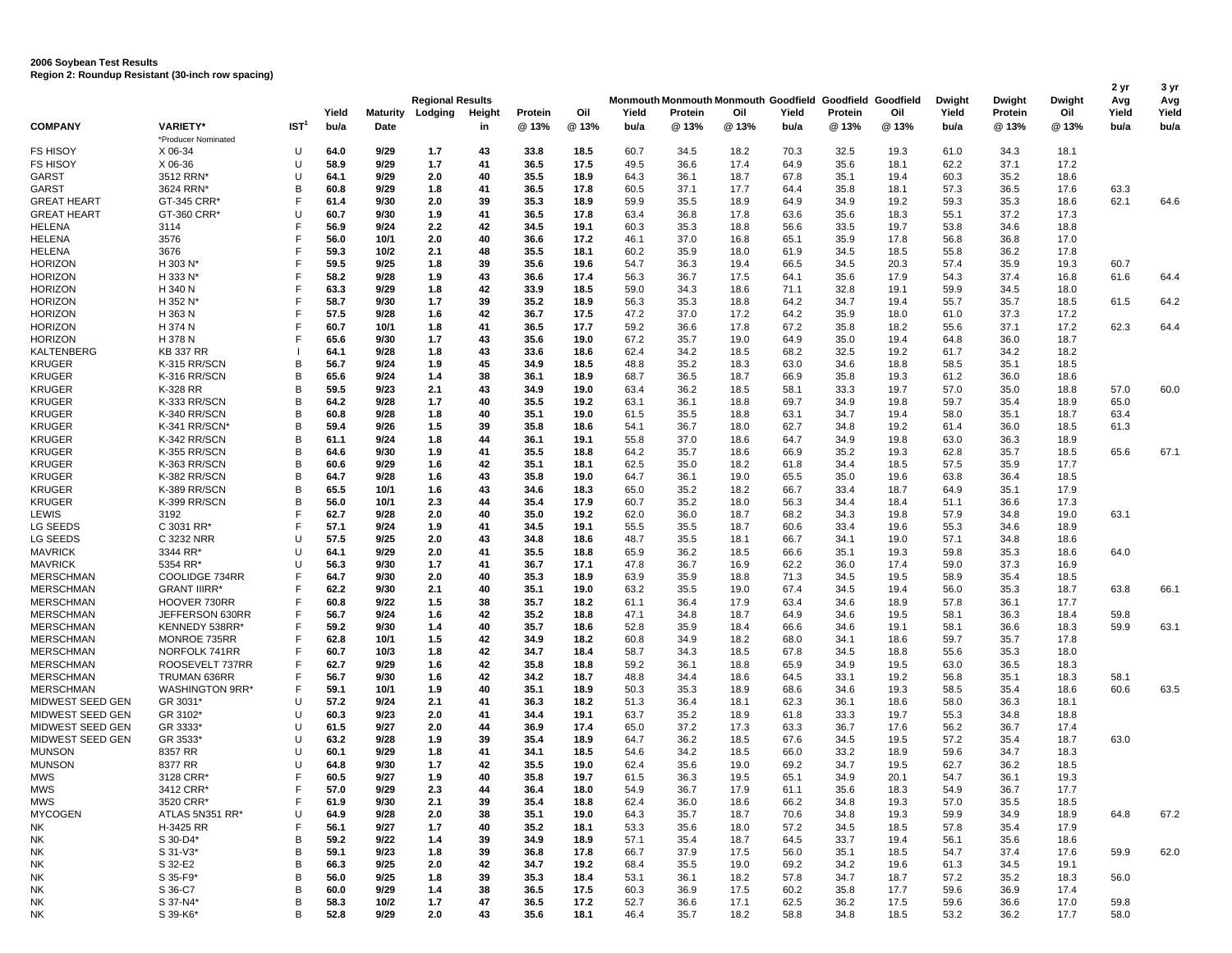|                            |                       |                  | Yield        | Maturity     | <b>Regional Results</b><br>Lodging | Height   | Protein      | Oil          | Yield        | Monmouth Monmouth Monmouth Goodfield Goodfield Goodfield<br>Protein | Oil          | Yield        | Protein      | Oil          | Dwight<br>Yield | Dwight<br>Protein | Dwight<br>Oil | 2 yr<br>Avg<br>Yield | 3 yr<br>Avg<br>Yield |
|----------------------------|-----------------------|------------------|--------------|--------------|------------------------------------|----------|--------------|--------------|--------------|---------------------------------------------------------------------|--------------|--------------|--------------|--------------|-----------------|-------------------|---------------|----------------------|----------------------|
| COMPANY                    | <b>VARIETY*</b>       | IST <sup>1</sup> | bu/a         | Date         |                                    |          | @ 13%        | @ 13%        | bu/a         | @13%                                                                | @ 13%        | bu/a         | @ 13%        | @13%         | bu/a            | @ 13%             | @ 13%         | bu/a                 | bu/a                 |
|                            | *Producer Nominated   |                  |              |              |                                    | in       |              |              |              |                                                                     |              |              |              |              |                 |                   |               |                      |                      |
| FS HISOY                   | X 06-34               | U                | 64.0         | 9/29         | 1.7                                | 43       | 33.8         | 18.5         | 60.7         | 34.5                                                                | 18.2         | 70.3         | 32.5         | 19.3         | 61.0            | 34.3              | 18.1          |                      |                      |
| FS HISOY                   | X 06-36               | U                | 58.9         | 9/29         | 1.7                                | 41       | 36.5         | 17.5         | 49.5         | 36.6                                                                | 17.4         | 64.9         | 35.6         | 18.1         | 62.2            | 37.1              | 17.2          |                      |                      |
| GARST                      | 3512 RRN*             | U                | 64.1         | 9/29         | 2.0                                | 40       | 35.5         | 18.9         | 64.3         | 36.1                                                                | 18.7         | 67.8         | 35.1         | 19.4         | 60.3            | 35.2              | 18.6          |                      |                      |
| GARST                      | 3624 RRN'             | в                | 60.8         | 9/29         | 1.8                                | 41       | 36.5         | 17.8         | 60.5         | 37.1                                                                | 17.7         | 64.4         | 35.8         | 18.1         | 57.3            | 36.5              | 17.6          | 63.3                 |                      |
| GREAT HEART                | GT-345 CRR'           |                  | 61.4         | 9/30         | 2.0                                | 39       | 35.3         | 18.9         | 59.9         | 35.5                                                                | 18.9         | 64.9         | 34.9         | 19.2         | 59.3            | 35.3              | 18.6          | 62.1                 | 64.6                 |
| <b>GREAT HEART</b>         | GT-360 CRR*           | $\mathsf{U}$     | 60.7         | 9/30         | 1.9                                | 41       | 36.5         | 17.8         | 63.4         | 36.8                                                                | 17.8         | 63.6         | 35.6         | 18.3         | 55.1            | 37.2              | 17.3          |                      |                      |
| HELENA                     | 3114                  |                  | 56.9         | 9/24         | 2.2                                | 42       | 34.5         | 19.1         | 60.3         | 35.3                                                                | 18.8         | 56.6         | 33.5         | 19.7         | 53.8            | 34.6              | 18.8          |                      |                      |
| HELENA                     | 3576                  |                  | 56.0         | 10/1         | 2.0                                | 40       | 36.6         | 17.2         | 46.1         | 37.0                                                                | 16.8         | 65.1         | 35.9         | 17.8         | 56.8            | 36.8              | 17.0          |                      |                      |
| HELENA                     | 3676                  |                  | 59.3         | 10/2         | 2.1                                | 48       | 35.5         | 18.1         | 60.2         | 35.9                                                                | 18.0         | 61.9         | 34.5         | 18.5         | 55.8            | 36.2              | 17.8          |                      |                      |
| <b>HORIZON</b>             | H 303 N*              |                  | 59.5         | 9/25         | 1.8                                | 39       | 35.6         | 19.6         | 54.7         | 36.3                                                                | 19.4         | 66.5         | 34.5         | 20.3         | 57.4            | 35.9              | 19.3          | 60.7                 |                      |
| <b>HORIZON</b>             | H 333 N*              |                  | 58.2         | 9/28         | 1.9                                | 43       | 36.6         | 17.4         | 56.3         | 36.7                                                                | 17.5         | 64.1         | 35.6         | 17.9         | 54.3            | 37.4              | 16.8          | 61.6                 | 64.4                 |
| <b>HORIZON</b>             | H 340 N               |                  | 63.3         | 9/29         | 1.8                                | 42       | 33.9         | 18.5         | 59.0         | 34.3                                                                | 18.6         | 71.1         | 32.8         | 19.1         | 59.9            | 34.5              | 18.0          |                      |                      |
| <b>HORIZON</b>             | H 352 N*              |                  | 58.7         | 9/30         | 1.7                                | 39       | 35.2         | 18.9         | 56.3         | 35.3                                                                | 18.8         | 64.2         | 34.7         | 19.4         | 55.7            | 35.7              | 18.5          | 61.5                 | 64.2                 |
| <b>HORIZON</b>             | H 363 N               |                  | 57.5         | 9/28         | 1.6                                | 42       | 36.7         | 17.5         | 47.2         | 37.0                                                                | 17.2         | 64.2         | 35.9         | 18.0         | 61.0            | 37.3              | 17.2          |                      |                      |
| HORIZON                    | H 374 N               |                  | 60.7         | 10/1         | 1.8                                | 41       | 36.5         | 17.7         | 59.2         | 36.6                                                                | 17.8         | 67.2         | 35.8         | 18.2         | 55.6            | 37.1              | 17.2          | 62.3                 | 64.4                 |
| <b>HORIZON</b>             | H 378 N               |                  | 65.6         | 9/30         | 1.7                                | 43       | 35.6         | 19.0         | 67.2         | 35.7                                                                | 19.0         | 64.9         | 35.0         | 19.4         | 64.8            | 36.0              | 18.7          |                      |                      |
| KALTENBERG                 | <b>KB 337 RR</b>      |                  | 64.1         | 9/28         | 1.8                                | 43       | 33.6         | 18.6         | 62.4         | 34.2                                                                | 18.5         | 68.2         | 32.5         | 19.2         | 61.7            | 34.2              | 18.2          |                      |                      |
| KRUGER                     | K-315 RR/SCN          | B                | 56.7         | 9/24         | 1.9                                | 45       | 34.9         | 18.5         | 48.8         | 35.2                                                                | 18.3         | 63.0         | 34.6         | 18.8         | 58.5            | 35.1              | 18.5          |                      |                      |
| KRUGER                     | K-316 RR/SCN          | в                | 65.6         | 9/24         | 1.4                                | 38       | 36.1         | 18.9         | 68.7         | 36.5                                                                | 18.7         | 66.9         | 35.8         | 19.3         | 61.2            | 36.0              | 18.6          |                      |                      |
| <b>KRUGER</b>              | K-328 RR              | B                | 59.5         | 9/23         | 2.1                                | 43       | 34.9         | 19.0         | 63.4         | 36.2                                                                | 18.5         | 58.1         | 33.3         | 19.7         | 57.0            | 35.0              | 18.8          | 57.0                 | 60.0                 |
| KRUGER                     | K-333 RR/SCN          | B                | 64.2         | 9/28         | 1.7                                | 40       | 35.5         | 19.2         | 63.1         | 36.1                                                                | 18.8         | 69.7         | 34.9         | 19.8         | 59.7            | 35.4              | 18.9          | 65.0                 |                      |
| KRUGER                     | K-340 RR/SCN          | в                | 60.8         | 9/28         | 1.8                                | 40       | 35.1         | 19.0         | 61.5         | 35.5                                                                | 18.8         | 63.1         | 34.7         | 19.4         | 58.0            | 35.1              | 18.7          | 63.4                 |                      |
| KRUGER                     | K-341 RR/SCN*         | B                | 59.4         | 9/26         | 1.5                                | 39       | 35.8         | 18.6         | 54.1         | 36.7                                                                | 18.0         | 62.7         | 34.8         | 19.2         | 61.4            | 36.0              | 18.5          | 61.3                 |                      |
| KRUGER                     | K-342 RR/SCN          | B                | 61.1         | 9/24         | 1.8                                | 44       | 36.1         | 19.1         | 55.8         | 37.0                                                                | 18.6         | 64.7         | 34.9         | 19.8         | 63.0            | 36.3              | 18.9          |                      |                      |
| KRUGER                     | K-355 RR/SCN          | в                | 64.6         | 9/30         | 1.9                                | 41       | 35.5         | 18.8         | 64.2         | 35.7                                                                | 18.6         | 66.9         | 35.2         | 19.3         | 62.8            | 35.7              | 18.5          | 65.6                 | 67.1                 |
| KRUGER                     | K-363 RR/SCN          | B                | 60.6         | 9/29         | 1.6                                | 42       | 35.1         | 18.1         | 62.5         | 35.0                                                                | 18.2         | 61.8         | 34.4         | 18.5         | 57.5            | 35.9              | 17.7          |                      |                      |
| KRUGER                     | K-382 RR/SCN          | B                | 64.7         | 9/28         | 1.6                                | 43       | 35.8         | 19.0         | 64.7         | 36.1                                                                | 19.0         | 65.5         | 35.0         | 19.6         | 63.8            | 36.4              | 18.5          |                      |                      |
| <b>KRUGER</b>              | K-389 RR/SCN          | B                | 65.5         | 10/1         | 1.6                                | 43       | 34.6         | 18.3         | 65.0         | 35.2                                                                | 18.2         | 66.7         | 33.4         | 18.7         | 64.9            | 35.1              | 17.9          |                      |                      |
| KRUGER                     | K-399 RR/SCN          | B                | 56.0         | 10/1         | 2.3                                | 44       | 35.4         | 17.9         | 60.7         | 35.2                                                                | 18.0         | 56.3         | 34.4         | 18.4         | 51.1            | 36.6              | 17.3          |                      |                      |
| LEWIS                      | 3192                  |                  | 62.7         | 9/28         | 2.0                                | 40       | 35.0         | 19.2         | 62.0         | 36.0                                                                | 18.7         | 68.2         | 34.3         | 19.8         | 57.9            | 34.8              | 19.0          | 63.1                 |                      |
| LG SEEDS                   | C 3031 RR*            | F                | 57.1         | 9/24         | 1.9                                | 41       | 34.5         | 19.1         | 55.5         | 35.5                                                                | 18.7         | 60.6         | 33.4         | 19.6         | 55.3            | 34.6              | 18.9          |                      |                      |
| LG SEEDS                   | C 3232 NRR            | U                | 57.5         | 9/25         | 2.0                                | 43       | 34.8         | 18.6         | 48.7         | 35.5                                                                | 18.1         | 66.7         | 34.1         | 19.0         | 57.1            | 34.8              | 18.6          |                      |                      |
| <b>MAVRICK</b>             | 3344 RR'              |                  | 64.1         | 9/29         | 2.0                                | 41       | 35.5         | 18.8         | 65.9         | 36.2                                                                | 18.5         | 66.6         | 35.1         | 19.3         | 59.8            | 35.3              | 18.6          | 64.0                 |                      |
| <b>MAVRICK</b>             | 5354 RR*              | U                | 56.3         | 9/30         | 1.7                                | 41       | 36.7         | 17.1         | 47.8         | 36.7                                                                | 16.9         | 62.2         | 36.0         | 17.4         | 59.0            | 37.3              | 16.9          |                      |                      |
| MERSCHMAN                  | COOLIDGE 734RR        |                  | 64.7         | 9/30         | 2.0                                | 40       | 35.3         | 18.9         | 63.9         | 35.9                                                                | 18.8         | 71.3         | 34.5         | 19.5         | 58.9            | 35.4              | 18.5          |                      |                      |
| <b>MERSCHMAN</b>           | <b>GRANT IIIRR'</b>   |                  | 62.2         | 9/30         | 2.1                                | 40       | 35.1         | 19.0         | 63.2         | 35.5                                                                | 19.0         | 67.4         | 34.5         | 19.4         | 56.0            | 35.3              | 18.7          | 63.8                 | 66.1                 |
| <b>MERSCHMAN</b>           | HOOVER 730RR          | F                | 60.8         | 9/22         | 1.5                                | 38       | 35.7         | 18.2         | 61.1         | 36.4                                                                | 17.9         | 63.4         | 34.6         | 18.9         | 57.8            | 36.1              | 17.7          |                      |                      |
| <b>MERSCHMAN</b>           | JEFFERSON 630RR       |                  | 56.7         | 9/24         | 1.6                                | 42       | 35.2         | 18.8         | 47.1         | 34.8                                                                | 18.7         | 64.9         | 34.6         | 19.5         | 58.1            | 36.3              | 18.4          | 59.8                 |                      |
| <b>MERSCHMAN</b>           | KENNEDY 538RR*        |                  | 59.2         | 9/30         | 1.4                                | 40       | 35.7         | 18.6         | 52.8         | 35.9                                                                | 18.4         | 66.6         | 34.6         | 19.1         | 58.1            | 36.6              | 18.3          | 59.9                 | 63.1                 |
| <b>MERSCHMAN</b>           | MONROE 735RR          | F                | 62.8         | 10/1         | 1.5                                | 42       | 34.9         | 18.2         | 60.8         | 34.9                                                                | 18.2         | 68.0         | 34.1         | 18.6         | 59.7            | 35.7              | 17.8          |                      |                      |
| <b>MERSCHMAN</b>           | NORFOLK 741RR         |                  | 60.7         | 10/3         | 1.8                                | 42       | 34.7         | 18.4         | 58.7         | 34.3                                                                | 18.5         | 67.8         | 34.5         | 18.8         | 55.6            | 35.3              | 18.0          |                      |                      |
| <b>MERSCHMAN</b>           | ROOSEVELT 737RR       | F<br>F           | 62.7         | 9/29         | 1.6                                | 42       | 35.8         | 18.8         | 59.2         | 36.1                                                                | 18.8         | 65.9         | 34.9         | 19.5         | 63.0            | 36.5              | 18.3          |                      |                      |
| <b>MERSCHMAN</b>           | TRUMAN 636RR          |                  | 56.7         | 9/30         | 1.6                                | 42       | 34.2         | 18.7         | 48.8         | 34.4                                                                | 18.6         | 64.5         | 33.1         | 19.2         | 56.8            | 35.1              | 18.3          | 58.1                 |                      |
| <b>MERSCHMAN</b>           | <b>WASHINGTON 9RR</b> |                  | 59.1         | 10/1         | 1.9                                | 40       | 35.1         | 18.9         | 50.3         | 35.3                                                                | 18.9         | 68.6         | 34.6         | 19.3         | 58.5            | 35.4              | 18.6          | 60.6                 | 63.5                 |
| MIDWEST SEED GEN           | GR 3031               | $\mathsf{U}$     | 57.2         | 9/24         | 2.1                                | 41       | 36.3         | 18.2         | 51.3         | 36.4                                                                | 18.1         | 62.3         | 36.1         | 18.6         | 58.0            | 36.3              | 18.1          |                      |                      |
| MIDWEST SEED GEN           | GR 3102               | U                | 60.3<br>61.5 | 9/23<br>9/27 | 2.0<br>2.0                         | 41<br>44 | 34.4<br>36.9 | 19.1<br>17.4 | 63.7         | 35.2                                                                | 18.9         | 61.8         | 33.3         | 19.7         | 55.3            | 34.8              | 18.8          |                      |                      |
| MIDWEST SEED GEN           | GR 3333<br>GR 3533    |                  | 63.2         | 9/28         |                                    | 39       |              |              | 65.0         | 37.2                                                                | 17.3         | 63.3         | 36.7         | 17.6         | 56.2            | 36.7              | 17.4          |                      |                      |
| MIDWEST SEED GEN<br>MUNSON | 8357 RR               |                  | 60.1         | 9/29         | 1.9<br>1.8                         | 41       | 35.4<br>34.1 | 18.9<br>18.5 | 64.7<br>54.6 | 36.2<br>34.2                                                        | 18.5<br>18.5 | 67.6<br>66.0 | 34.5<br>33.2 | 19.5         | 57.2<br>59.6    | 35.4<br>34.7      | 18.7          | 63.0                 |                      |
| <b>MUNSON</b>              | 8377 RR               | U                | 64.8         | 9/30         | 1.7                                | 42       | 35.5         | 19.0         | 62.4         | 35.6                                                                | 19.0         | 69.2         | 34.7         | 18.9<br>19.5 | 62.7            | 36.2              | 18.3<br>18.5  |                      |                      |
| <b>MWS</b>                 | 3128 CRR'             |                  | 60.5         | 9/27         | 1.9                                | 40       | 35.8         | 19.7         | 61.5         | 36.3                                                                | 19.5         | 65.1         | 34.9         |              | 54.7            | 36.1              | 19.3          |                      |                      |
| <b>MWS</b>                 | 3412 CRR*             | F                | 57.0         | 9/29         | 2.3                                | 44       | 36.4         | 18.0         | 54.9         | 36.7                                                                | 17.9         | 61.1         | 35.6         | 20.1<br>18.3 | 54.9            | 36.7              | 17.7          |                      |                      |
| MWS                        | 3520 CRR*             |                  | 61.9         | 9/30         | 2.1                                |          | 35.4         | 18.8         |              | 36.0                                                                | 18.6         | 66.2         |              | 19.3         | 57.0            |                   |               |                      |                      |
| <b>MYCOGEN</b>             | ATLAS 5N351 RR*       | U                | 64.9         | 9/28         | 2.0                                | 39<br>38 | 35.1         | 19.0         | 62.4<br>64.3 | 35.7                                                                | 18.7         | 70.6         | 34.8<br>34.8 | 19.3         | 59.9            | 35.5<br>34.9      | 18.5<br>18.9  | 64.8                 | 67.2                 |
| NΚ                         | H-3425 RR             |                  | 56.1         | 9/27         | 1.7                                | 40       | 35.2         | 18.1         | 53.3         | 35.6                                                                | 18.0         | 57.2         | 34.5         | 18.5         | 57.8            | 35.4              | 17.9          |                      |                      |
| NK.                        | S 30-D4*              | в                | 59.2         | 9/22         | 1.4                                | 39       | 34.9         | 18.9         | 57.1         | 35.4                                                                | 18.7         | 64.5         | 33.7         | 19.4         | 56.1            | 35.6              | 18.6          |                      |                      |
| NΚ                         | S 31-V3*              | в                | 59.1         | 9/23         | 1.8                                | 39       | 36.8         | 17.8         | 66.7         | 37.9                                                                | 17.5         | 56.0         | 35.1         | 18.5         | 54.7            | 37.4              | 17.6          | 59.9                 | 62.0                 |
| <b>NK</b>                  | S 32-E2               | B                | 66.3         | 9/25         | 2.0                                | 42       | 34.7         | 19.2         | 68.4         | 35.5                                                                | 19.0         | 69.2         | 34.2         | 19.6         | 61.3            | 34.5              | 19.1          |                      |                      |
| NΚ                         | S 35-F9*              | в                | 56.0         | 9/25         | 1.8                                | 39       | 35.3         | 18.4         | 53.1         | 36.1                                                                | 18.2         | 57.8         | 34.7         | 18.7         | 57.2            | 35.2              | 18.3          | 56.0                 |                      |
| NΚ                         | S 36-C7               | B                | 60.0         | 9/29         | 1.4                                | 38       | 36.5         | 17.5         | 60.3         | 36.9                                                                | 17.5         | 60.2         | 35.8         | 17.7         | 59.6            | 36.9              | 17.4          |                      |                      |
| <b>NK</b>                  | S 37-N4*              | В                | 58.3         | 10/2         | 1.7                                | 47       | 36.5         | 17.2         | 52.7         | 36.6                                                                | 17.1         | 62.5         | 36.2         | 17.5         | 59.6            | 36.6              | 17.0          | 59.8                 |                      |
| NK                         | S 39-K6*              | B                | 52.8         | 9/29         | 2.0                                | 43       | 35.6         | 18.1         | 46.4         | 35.7                                                                | 18.2         | 58.8         | 34.8         | 18.5         | 53.2            | 36.2              | 17.7          | 58.0                 |                      |